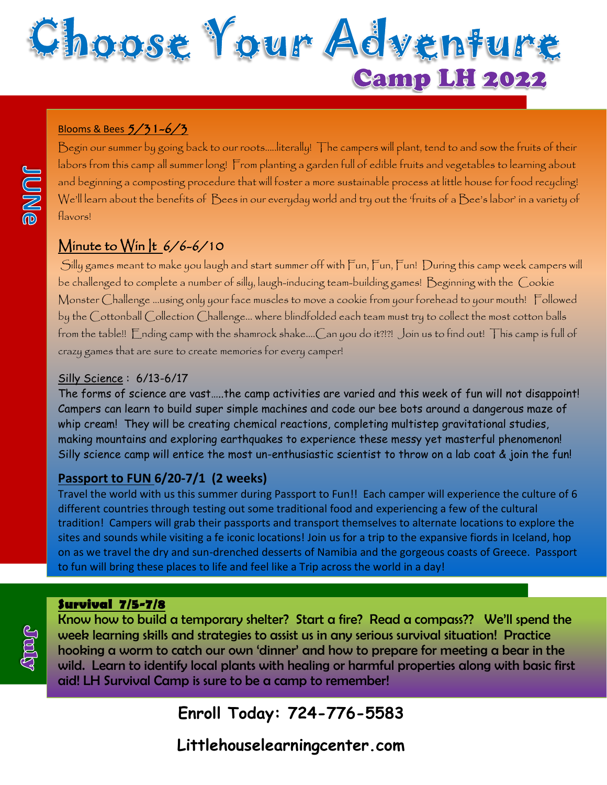

#### Blooms & Bees 5/31-6/3

Begin our summer by going back to our roots…..literally! The campers will plant, tend to and sow the fruits of their labors from this camp all summer long! From planting a garden full of edible fruits and vegetables to learning about and beginning a composting procedure that will foster a more sustainable process at little house for food recycling! We'll learn about the benefits of Bees in our everyday world and try out the 'fruits of a Bee's labor' in a variety of flavors!

# Minute to Win |t 6/6-6/10

Silly games meant to make you laugh and start summer off with Fun, Fun, Fun! During this camp week campers will be challenged to complete a number of silly, laugh-inducing team-building games! Beginning with the Cookie Monster Challenge ...using only your face muscles to move a cookie from your forehead to your mouth! Followed by the Cottonball Collection Challenge... where blindfolded each team must try to collect the most cotton balls from the table!! Ending camp with the shamrock shake....Can you do it?!?! Join us to find out! This camp is full of crazy games that are sure to create memories for every camper!

#### Silly Science : 6/13-6/17

The forms of science are vast…..the camp activities are varied and this week of fun will not disappoint! Campers can learn to build super simple machines and code our bee bots around a dangerous maze of whip cream! They will be creating chemical reactions, completing multistep gravitational studies, making mountains and exploring earthquakes to experience these messy yet masterful phenomenon! Silly science camp will entice the most un-enthusiastic scientist to throw on a lab coat & join the fun!

#### **Passport to FUN 6/20-7/1 (2 weeks)**

Travel the world with us this summer during Passport to Fun!! Each camper will experience the culture of 6 different countries through testing out some traditional food and experiencing a few of the cultural tradition! Campers will grab their passports and transport themselves to alternate locations to explore the sites and sounds while visiting a fe iconic locations! Join us for a trip to the expansive fiords in Iceland, hop on as we travel the dry and sun-drenched desserts of Namibia and the gorgeous coasts of Greece. Passport to fun will bring these places to life and feel like a Trip across the world in a day!

# **Survival 7/5-7/8**



**JUNG** 

Know how to build a temporary shelter? Start a fire? Read a compass?? We'll spend the week learning skills and strategies to assist us in any serious survival situation! Practice hooking a worm to catch our own 'dinner' and how to prepare for meeting a bear in the wild. Learn to identify local plants with healing or harmful properties along with basic first aid! LH Survival Camp is sure to be a camp to remember!

# **Enroll Today: 724-776-5583**

**Littlehouselearningcenter.com**